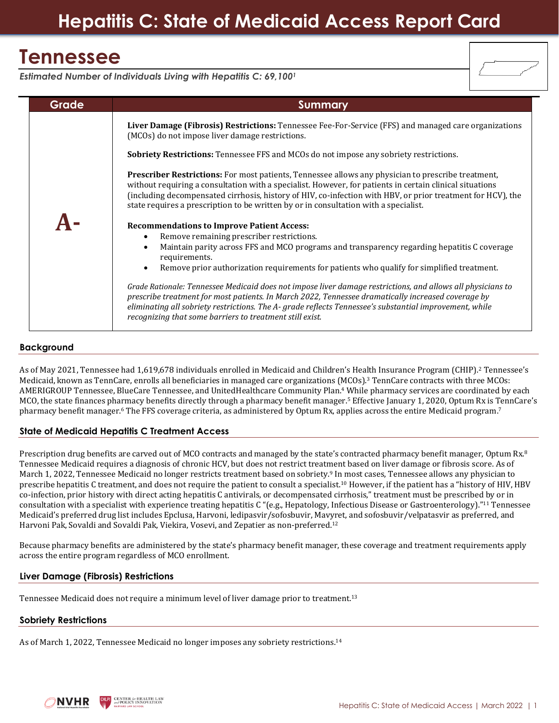# **Tennessee**

*Estimated Number of Individuals Living with Hepatitis C: 69,100<sup>1</sup>* **Grade Summary A-Liver Damage (Fibrosis) Restrictions:** Tennessee Fee-For-Service (FFS) and managed care organizations (MCOs) do not impose liver damage restrictions. **Sobriety Restrictions:** Tennessee FFS and MCOs do not impose any sobriety restrictions. **Prescriber Restrictions:** For most patients, Tennessee allows any physician to prescribe treatment, without requiring a consultation with a specialist. However, for patients in certain clinical situations (including decompensated cirrhosis, history of HIV, co-infection with HBV, or prior treatment for HCV), the state requires a prescription to be written by or in consultation with a specialist. **Recommendations to Improve Patient Access:** • Remove remaining prescriber restrictions. • Maintain parity across FFS and MCO programs and transparency regarding hepatitis C coverage requirements. • Remove prior authorization requirements for patients who qualify for simplified treatment. *Grade Rationale: Tennessee Medicaid does not impose liver damage restrictions, and allows all physicians to prescribe treatment for most patients. In March 2022, Tennessee dramatically increased coverage by eliminating all sobriety restrictions. The A- grade reflects Tennessee's substantial improvement, while* 

*recognizing that some barriers to treatment still exist.*

# **Background**

As of May 2021, Tennessee had 1,619,678 individuals enrolled in Medicaid and Children's Health Insurance Program (CHIP).<sup>2</sup> Tennessee's Medicaid, known as TennCare, enrolls all beneficiaries in managed care organizations (MCOs).<sup>3</sup> TennCare contracts with three MCOs: AMERIGROUP Tennessee, BlueCare Tennessee, and UnitedHealthcare Community Plan.<sup>4</sup> While pharmacy services are coordinated by each MCO, the state finances pharmacy benefits directly through a pharmacy benefit manager.<sup>5</sup> Effective January 1, 2020, Optum Rx is TennCare's pharmacy benefit manager.<sup>6</sup> The FFS coverage criteria, as administered by Optum Rx, applies across the entire Medicaid program.<sup>7</sup>

# **State of Medicaid Hepatitis C Treatment Access**

Prescription drug benefits are carved out of MCO contracts and managed by the state's contracted pharmacy benefit manager, Optum Rx.<sup>8</sup> Tennessee Medicaid requires a diagnosis of chronic HCV, but does not restrict treatment based on liver damage or fibrosis score. As of March 1, 2022, Tennessee Medicaid no longer restricts treatment based on sobriety.<sup>9</sup> In most cases, Tennessee allows any physician to prescribe hepatitis C treatment, and does not require the patient to consult a specialist.<sup>10</sup> However, if the patient has a "history of HIV, HBV co-infection, prior history with direct acting hepatitis C antivirals, or decompensated cirrhosis," treatment must be prescribed by or in consultation with a specialist with experience treating hepatitis C "(e.g., Hepatology, Infectious Disease or Gastroenterology)."<sup>11</sup> Tennessee Medicaid's preferred drug list includes Epclusa, Harvoni, ledipasvir/sofosbuvir, Mavyret, and sofosbuvir/velpatasvir as preferred, and Harvoni Pak, Sovaldi and Sovaldi Pak, Viekira, Vosevi, and Zepatier as non-preferred.<sup>12</sup>

Because pharmacy benefits are administered by the state's pharmacy benefit manager, these coverage and treatment requirements apply across the entire program regardless of MCO enrollment.

### **Liver Damage (Fibrosis) Restrictions**

Tennessee Medicaid does not require a minimum level of liver damage prior to treatment.<sup>13</sup>

### **Sobriety Restrictions**

As of March 1, 2022, Tennessee Medicaid no longer imposes any sobriety restrictions.14

**CENTER for HEALTH LAW**<br>and POLICY INNOVATION NVHR